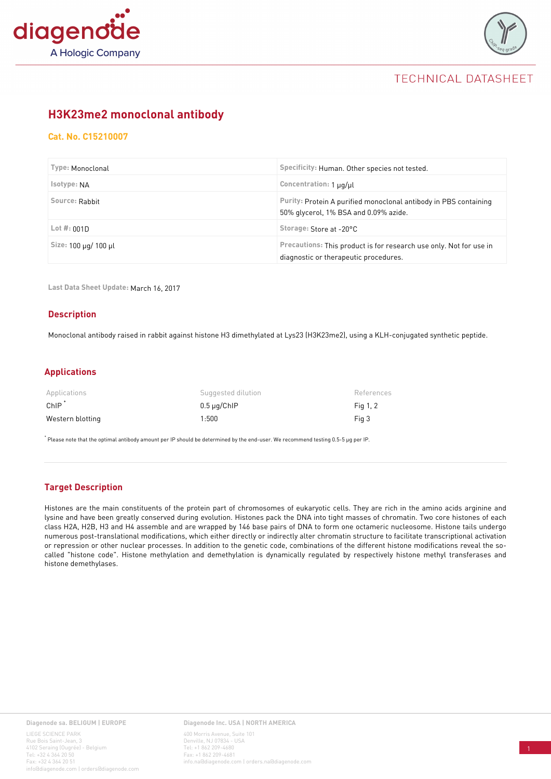



## TECHNICAL DATASHEET

### **[H3K23me2 monoclonal antibody](https://www.diagenode.com/p/h3k23me2-monoclonal-antibody)**

### **Cat. No. C15210007**

| Type: Monoclonal     | Specificity: Human. Other species not tested.                                                               |  |
|----------------------|-------------------------------------------------------------------------------------------------------------|--|
| Isotype: NA          | Concentration: 1 µg/µl                                                                                      |  |
| Source: Rabbit       | Purity: Protein A purified monoclonal antibody in PBS containing<br>50% glycerol, 1% BSA and 0.09% azide.   |  |
| Lot $#:001D$         | Storage: Store at -20°C                                                                                     |  |
| Size: 100 µg/ 100 µl | Precautions: This product is for research use only. Not for use in<br>diagnostic or therapeutic procedures. |  |

**Last Data Sheet Update:** March 16, 2017

#### **Description**

Monoclonal antibody raised in rabbit against histone H3 dimethylated at Lys23 (H3K23me2), using a KLH-conjugated synthetic peptide.

### **Applications**

| Applications     | Suggested dilution | References |
|------------------|--------------------|------------|
| $ChIP^*$         | $0.5 \mu q$ ChIP   | Fig 1, 2   |
| Western blotting | 1:500              | Fig 3      |

\* Please note that the optimal antibody amount per IP should be determined by the end-user. We recommend testing 0.5-5 μg per IP.

### **Target Description**

Histones are the main constituents of the protein part of chromosomes of eukaryotic cells. They are rich in the amino acids arginine and lysine and have been greatly conserved during evolution. Histones pack the DNA into tight masses of chromatin. Two core histones of each class H2A, H2B, H3 and H4 assemble and are wrapped by 146 base pairs of DNA to form one octameric nucleosome. Histone tails undergo numerous post-translational modifications, which either directly or indirectly alter chromatin structure to facilitate transcriptional activation or repression or other nuclear processes. In addition to the genetic code, combinations of the different histone modifications reveal the socalled "histone code". Histone methylation and demethylation is dynamically regulated by respectively histone methyl transferases and histone demethylases.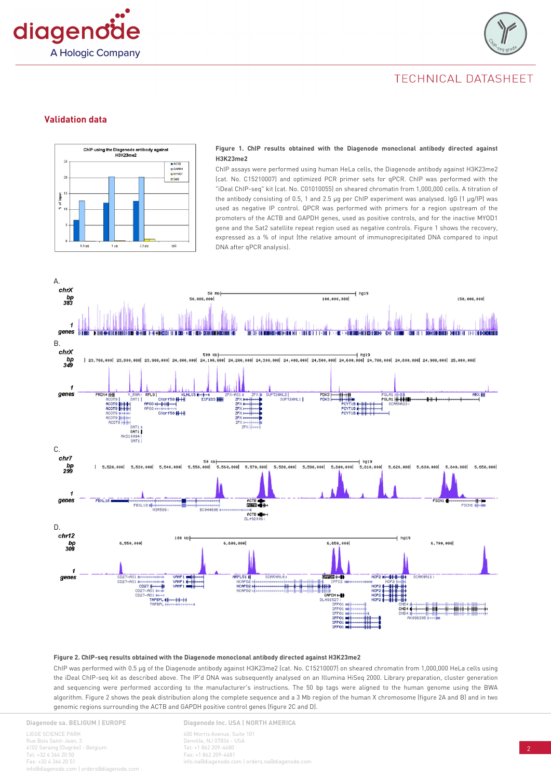



## TECHNICAL DATASHEET

#### **Validation data**



#### **Figure 1. ChIP results obtained with the Diagenode monoclonal antibody directed against H3K23me2**

ChIP assays were performed using human HeLa cells, the Diagenode antibody against H3K23me2 (cat. No. C15210007) and optimized PCR primer sets for qPCR. ChIP was performed with the "iDeal ChIP-seq" kit (cat. No. C01010055) on sheared chromatin from 1,000,000 cells. A titration of the antibody consisting of 0.5, 1 and 2.5 µg per ChIP experiment was analysed. IgG (1 µg/IP) was used as negative IP control. QPCR was performed with primers for a region upstream of the promoters of the ACTB and GAPDH genes, used as positive controls, and for the inactive MYOD1 gene and the Sat2 satellite repeat region used as negative controls. Figure 1 shows the recovery, expressed as a % of input (the relative amount of immunoprecipitated DNA compared to input DNA after qPCR analysis).



#### **Figure 2. ChIP-seq results obtained with the Diagenode monoclonal antibody directed against H3K23me2**

ChIP was performed with 0.5 µg of the Diagenode antibody against H3K23me2 (cat. No. C15210007) on sheared chromatin from 1,000,000 HeLa cells using the iDeal ChIP-seq kit as described above. The IP'd DNA was subsequently analysed on an Illumina HiSeq 2000. Library preparation, cluster generation and sequencing were performed according to the manufacturer's instructions. The 50 bp tags were aligned to the human genome using the BWA algorithm. Figure 2 shows the peak distribution along the complete sequence and a 3 Mb region of the human X chromosome (figure 2A and B) and in two genomic regions surrounding the ACTB and GAPDH positive control genes (figure 2C and D).

**Diagenode sa. BELIGUM | EUROPE**

LIEGE SCIENCE PARK Rue Bois Saint-Jean, 3 4102 Seraing (Ougrée) - Belgium Tel: +32 4 364 20 50 Fax: +32 4 364 20 51 agenode.com | orders@diage **Diagenode Inc. USA | NORTH AMERICA** 400 Morris Avenue, Suite 101 Denville, NJ 07834 - USA Tel: +1 862 209-4680 Fax: +1 862 209-4681 info.na@diagenode.com | orders.na@diagenode.com